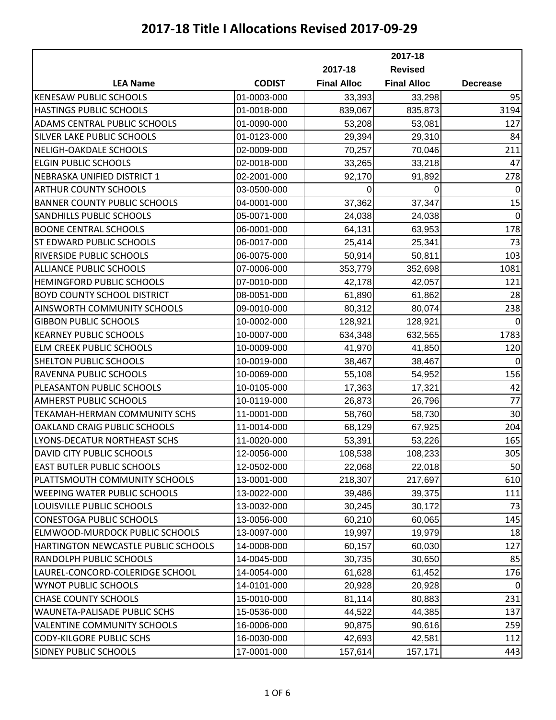|                                     |               | 2017-18            |                    |                 |
|-------------------------------------|---------------|--------------------|--------------------|-----------------|
|                                     |               | 2017-18            | <b>Revised</b>     |                 |
| <b>LEA Name</b>                     | <b>CODIST</b> | <b>Final Alloc</b> | <b>Final Alloc</b> | <b>Decrease</b> |
| <b>KENESAW PUBLIC SCHOOLS</b>       | 01-0003-000   | 33,393             | 33,298             | 95              |
| HASTINGS PUBLIC SCHOOLS             | 01-0018-000   | 839,067            | 835,873            | 3194            |
| ADAMS CENTRAL PUBLIC SCHOOLS        | 01-0090-000   | 53,208             | 53,081             | 127             |
| SILVER LAKE PUBLIC SCHOOLS          | 01-0123-000   | 29,394             | 29,310             | 84              |
| NELIGH-OAKDALE SCHOOLS              | 02-0009-000   | 70,257             | 70,046             | 211             |
| <b>ELGIN PUBLIC SCHOOLS</b>         | 02-0018-000   | 33,265             | 33,218             | 47              |
| NEBRASKA UNIFIED DISTRICT 1         | 02-2001-000   | 92,170             | 91,892             | 278             |
| <b>ARTHUR COUNTY SCHOOLS</b>        | 03-0500-000   | 0                  | 0                  | $\mathbf 0$     |
| <b>BANNER COUNTY PUBLIC SCHOOLS</b> | 04-0001-000   | 37,362             | 37,347             | 15              |
| SANDHILLS PUBLIC SCHOOLS            | 05-0071-000   | 24,038             | 24,038             | $\mathbf 0$     |
| <b>BOONE CENTRAL SCHOOLS</b>        | 06-0001-000   | 64,131             | 63,953             | 178             |
| ST EDWARD PUBLIC SCHOOLS            | 06-0017-000   | 25,414             | 25,341             | 73              |
| <b>RIVERSIDE PUBLIC SCHOOLS</b>     | 06-0075-000   | 50,914             | 50,811             | 103             |
| <b>ALLIANCE PUBLIC SCHOOLS</b>      | 07-0006-000   | 353,779            | 352,698            | 1081            |
| HEMINGFORD PUBLIC SCHOOLS           | 07-0010-000   | 42,178             | 42,057             | 121             |
| <b>BOYD COUNTY SCHOOL DISTRICT</b>  | 08-0051-000   | 61,890             | 61,862             | 28              |
| AINSWORTH COMMUNITY SCHOOLS         | 09-0010-000   | 80,312             | 80,074             | 238             |
| <b>GIBBON PUBLIC SCHOOLS</b>        | 10-0002-000   | 128,921            | 128,921            | $\mathbf 0$     |
| <b>KEARNEY PUBLIC SCHOOLS</b>       | 10-0007-000   | 634,348            | 632,565            | 1783            |
| ELM CREEK PUBLIC SCHOOLS            | 10-0009-000   | 41,970             | 41,850             | 120             |
| <b>SHELTON PUBLIC SCHOOLS</b>       | 10-0019-000   | 38,467             | 38,467             | $\mathbf 0$     |
| RAVENNA PUBLIC SCHOOLS              | 10-0069-000   | 55,108             | 54,952             | 156             |
| PLEASANTON PUBLIC SCHOOLS           | 10-0105-000   | 17,363             | 17,321             | 42              |
| <b>AMHERST PUBLIC SCHOOLS</b>       | 10-0119-000   | 26,873             | 26,796             | 77              |
| TEKAMAH-HERMAN COMMUNITY SCHS       | 11-0001-000   | 58,760             | 58,730             | 30              |
| OAKLAND CRAIG PUBLIC SCHOOLS        | 11-0014-000   | 68,129             | 67,925             | 204             |
| LYONS-DECATUR NORTHEAST SCHS        | 11-0020-000   | 53,391             | 53,226             | 165             |
| DAVID CITY PUBLIC SCHOOLS           | 12-0056-000   | 108,538            | 108,233            | 305             |
| <b>EAST BUTLER PUBLIC SCHOOLS</b>   | 12-0502-000   | 22,068             | 22,018             | 50              |
| PLATTSMOUTH COMMUNITY SCHOOLS       | 13-0001-000   | 218,307            | 217,697            | 610             |
| <b>WEEPING WATER PUBLIC SCHOOLS</b> | 13-0022-000   | 39,486             | 39,375             | 111             |
| LOUISVILLE PUBLIC SCHOOLS           | 13-0032-000   | 30,245             | 30,172             | 73              |
| <b>CONESTOGA PUBLIC SCHOOLS</b>     | 13-0056-000   | 60,210             | 60,065             | 145             |
| ELMWOOD-MURDOCK PUBLIC SCHOOLS      | 13-0097-000   | 19,997             | 19,979             | 18              |
| HARTINGTON NEWCASTLE PUBLIC SCHOOLS | 14-0008-000   | 60,157             | 60,030             | 127             |
| RANDOLPH PUBLIC SCHOOLS             | 14-0045-000   | 30,735             | 30,650             | 85              |
| LAUREL-CONCORD-COLERIDGE SCHOOL     | 14-0054-000   | 61,628             | 61,452             | 176             |
| <b>WYNOT PUBLIC SCHOOLS</b>         | 14-0101-000   | 20,928             | 20,928             | $\Omega$        |
| <b>CHASE COUNTY SCHOOLS</b>         | 15-0010-000   | 81,114             | 80,883             | 231             |
| WAUNETA-PALISADE PUBLIC SCHS        | 15-0536-000   | 44,522             | 44,385             | 137             |
| <b>VALENTINE COMMUNITY SCHOOLS</b>  | 16-0006-000   | 90,875             | 90,616             | 259             |
| <b>CODY-KILGORE PUBLIC SCHS</b>     | 16-0030-000   | 42,693             | 42,581             | 112             |
| <b>SIDNEY PUBLIC SCHOOLS</b>        | 17-0001-000   | 157,614            | 157,171            | 443             |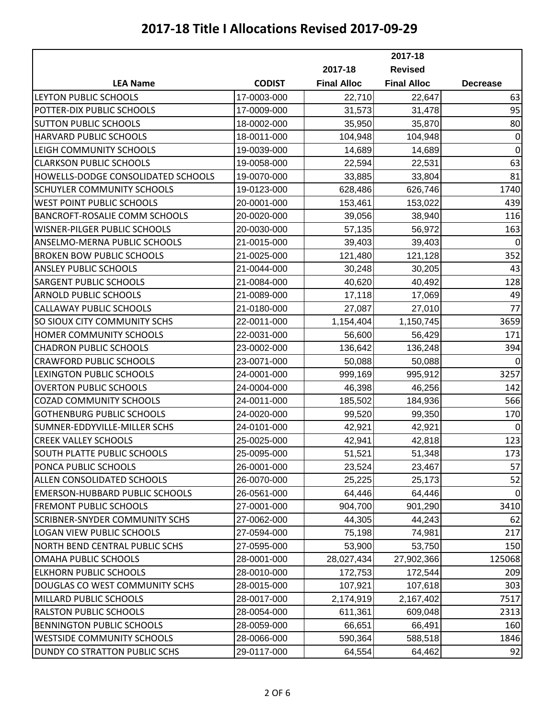|                                       |               | 2017-18            |                    |                 |
|---------------------------------------|---------------|--------------------|--------------------|-----------------|
|                                       |               | 2017-18            | <b>Revised</b>     |                 |
| <b>LEA Name</b>                       | <b>CODIST</b> | <b>Final Alloc</b> | <b>Final Alloc</b> | <b>Decrease</b> |
| <b>LEYTON PUBLIC SCHOOLS</b>          | 17-0003-000   | 22,710             | 22,647             | 63              |
| POTTER-DIX PUBLIC SCHOOLS             | 17-0009-000   | 31,573             | 31,478             | 95              |
| <b>SUTTON PUBLIC SCHOOLS</b>          | 18-0002-000   | 35,950             | 35,870             | 80              |
| HARVARD PUBLIC SCHOOLS                | 18-0011-000   | 104,948            | 104,948            | $\mathbf 0$     |
| LEIGH COMMUNITY SCHOOLS               | 19-0039-000   | 14,689             | 14,689             | $\mathbf 0$     |
| <b>CLARKSON PUBLIC SCHOOLS</b>        | 19-0058-000   | 22,594             | 22,531             | 63              |
| HOWELLS-DODGE CONSOLIDATED SCHOOLS    | 19-0070-000   | 33,885             | 33,804             | 81              |
| SCHUYLER COMMUNITY SCHOOLS            | 19-0123-000   | 628,486            | 626,746            | 1740            |
| <b>WEST POINT PUBLIC SCHOOLS</b>      | 20-0001-000   | 153,461            | 153,022            | 439             |
| BANCROFT-ROSALIE COMM SCHOOLS         | 20-0020-000   | 39,056             | 38,940             | 116             |
| WISNER-PILGER PUBLIC SCHOOLS          | 20-0030-000   | 57,135             | 56,972             | 163             |
| ANSELMO-MERNA PUBLIC SCHOOLS          | 21-0015-000   | 39,403             | 39,403             | $\mathbf 0$     |
| <b>BROKEN BOW PUBLIC SCHOOLS</b>      | 21-0025-000   | 121,480            | 121,128            | 352             |
| <b>ANSLEY PUBLIC SCHOOLS</b>          | 21-0044-000   | 30,248             | 30,205             | 43              |
| <b>SARGENT PUBLIC SCHOOLS</b>         | 21-0084-000   | 40,620             | 40,492             | 128             |
| <b>ARNOLD PUBLIC SCHOOLS</b>          | 21-0089-000   | 17,118             | 17,069             | 49              |
| CALLAWAY PUBLIC SCHOOLS               | 21-0180-000   | 27,087             | 27,010             | 77              |
| SO SIOUX CITY COMMUNITY SCHS          | 22-0011-000   | 1,154,404          | 1,150,745          | 3659            |
| HOMER COMMUNITY SCHOOLS               | 22-0031-000   | 56,600             | 56,429             | 171             |
| <b>CHADRON PUBLIC SCHOOLS</b>         | 23-0002-000   | 136,642            | 136,248            | 394             |
| <b>CRAWFORD PUBLIC SCHOOLS</b>        | 23-0071-000   | 50,088             | 50,088             | $\mathbf 0$     |
| LEXINGTON PUBLIC SCHOOLS              | 24-0001-000   | 999,169            | 995,912            | 3257            |
| <b>OVERTON PUBLIC SCHOOLS</b>         | 24-0004-000   | 46,398             | 46,256             | 142             |
| <b>COZAD COMMUNITY SCHOOLS</b>        | 24-0011-000   | 185,502            | 184,936            | 566             |
| <b>GOTHENBURG PUBLIC SCHOOLS</b>      | 24-0020-000   | 99,520             | 99,350             | 170             |
| SUMNER-EDDYVILLE-MILLER SCHS          | 24-0101-000   | 42,921             | 42,921             | $\mathbf 0$     |
| <b>CREEK VALLEY SCHOOLS</b>           | 25-0025-000   | 42,941             | 42,818             | 123             |
| SOUTH PLATTE PUBLIC SCHOOLS           | 25-0095-000   | 51,521             | 51,348             | 173             |
| PONCA PUBLIC SCHOOLS                  | 26-0001-000   | 23,524             | 23,467             | 57              |
| ALLEN CONSOLIDATED SCHOOLS            | 26-0070-000   | 25,225             | 25,173             | 52              |
| <b>EMERSON-HUBBARD PUBLIC SCHOOLS</b> | 26-0561-000   | 64,446             | 64,446             | 0               |
| <b>FREMONT PUBLIC SCHOOLS</b>         | 27-0001-000   | 904,700            | 901,290            | 3410            |
| <b>SCRIBNER-SNYDER COMMUNITY SCHS</b> | 27-0062-000   | 44,305             | 44,243             | 62              |
| <b>LOGAN VIEW PUBLIC SCHOOLS</b>      | 27-0594-000   | 75,198             | 74,981             | 217             |
| NORTH BEND CENTRAL PUBLIC SCHS        | 27-0595-000   | 53,900             | 53,750             | 150             |
| OMAHA PUBLIC SCHOOLS                  | 28-0001-000   | 28,027,434         | 27,902,366         | 125068          |
| <b>ELKHORN PUBLIC SCHOOLS</b>         | 28-0010-000   | 172,753            | 172,544            | 209             |
| DOUGLAS CO WEST COMMUNITY SCHS        | 28-0015-000   | 107,921            | 107,618            | 303             |
| MILLARD PUBLIC SCHOOLS                | 28-0017-000   | 2,174,919          | 2,167,402          | 7517            |
| <b>RALSTON PUBLIC SCHOOLS</b>         | 28-0054-000   | 611,361            | 609,048            | 2313            |
| <b>BENNINGTON PUBLIC SCHOOLS</b>      | 28-0059-000   | 66,651             | 66,491             | 160             |
| <b>WESTSIDE COMMUNITY SCHOOLS</b>     | 28-0066-000   | 590,364            | 588,518            | 1846            |
| DUNDY CO STRATTON PUBLIC SCHS         | 29-0117-000   | 64,554             | 64,462             | 92              |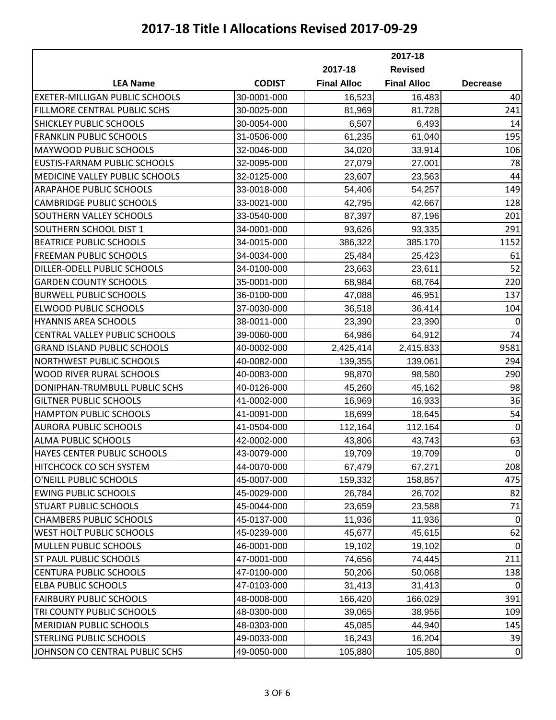|                                       | 2017-18       |                    |                    |                 |
|---------------------------------------|---------------|--------------------|--------------------|-----------------|
|                                       |               | 2017-18            | <b>Revised</b>     |                 |
| <b>LEA Name</b>                       | <b>CODIST</b> | <b>Final Alloc</b> | <b>Final Alloc</b> | <b>Decrease</b> |
| <b>EXETER-MILLIGAN PUBLIC SCHOOLS</b> | 30-0001-000   | 16,523             | 16,483             | 40              |
| FILLMORE CENTRAL PUBLIC SCHS          | 30-0025-000   | 81,969             | 81,728             | 241             |
| SHICKLEY PUBLIC SCHOOLS               | 30-0054-000   | 6,507              | 6,493              | 14              |
| <b>FRANKLIN PUBLIC SCHOOLS</b>        | 31-0506-000   | 61,235             | 61,040             | 195             |
| MAYWOOD PUBLIC SCHOOLS                | 32-0046-000   | 34,020             | 33,914             | 106             |
| <b>EUSTIS-FARNAM PUBLIC SCHOOLS</b>   | 32-0095-000   | 27,079             | 27,001             | 78              |
| MEDICINE VALLEY PUBLIC SCHOOLS        | 32-0125-000   | 23,607             | 23,563             | 44              |
| <b>ARAPAHOE PUBLIC SCHOOLS</b>        | 33-0018-000   | 54,406             | 54,257             | 149             |
| <b>CAMBRIDGE PUBLIC SCHOOLS</b>       | 33-0021-000   | 42,795             | 42,667             | 128             |
| SOUTHERN VALLEY SCHOOLS               | 33-0540-000   | 87,397             | 87,196             | 201             |
| SOUTHERN SCHOOL DIST 1                | 34-0001-000   | 93,626             | 93,335             | 291             |
| <b>BEATRICE PUBLIC SCHOOLS</b>        | 34-0015-000   | 386,322            | 385,170            | 1152            |
| <b>FREEMAN PUBLIC SCHOOLS</b>         | 34-0034-000   | 25,484             | 25,423             | 61              |
| DILLER-ODELL PUBLIC SCHOOLS           | 34-0100-000   | 23,663             | 23,611             | 52              |
| <b>GARDEN COUNTY SCHOOLS</b>          | 35-0001-000   | 68,984             | 68,764             | 220             |
| <b>BURWELL PUBLIC SCHOOLS</b>         | 36-0100-000   | 47,088             | 46,951             | 137             |
| <b>ELWOOD PUBLIC SCHOOLS</b>          | 37-0030-000   | 36,518             | 36,414             | 104             |
| <b>HYANNIS AREA SCHOOLS</b>           | 38-0011-000   | 23,390             | 23,390             | $\mathbf 0$     |
| CENTRAL VALLEY PUBLIC SCHOOLS         | 39-0060-000   | 64,986             | 64,912             | 74              |
| <b>GRAND ISLAND PUBLIC SCHOOLS</b>    | 40-0002-000   | 2,425,414          | 2,415,833          | 9581            |
| NORTHWEST PUBLIC SCHOOLS              | 40-0082-000   | 139,355            | 139,061            | 294             |
| <b>WOOD RIVER RURAL SCHOOLS</b>       | 40-0083-000   | 98,870             | 98,580             | 290             |
| DONIPHAN-TRUMBULL PUBLIC SCHS         | 40-0126-000   | 45,260             | 45,162             | 98              |
| <b>GILTNER PUBLIC SCHOOLS</b>         | 41-0002-000   | 16,969             | 16,933             | 36              |
| <b>HAMPTON PUBLIC SCHOOLS</b>         | 41-0091-000   | 18,699             | 18,645             | 54              |
| <b>AURORA PUBLIC SCHOOLS</b>          | 41-0504-000   | 112,164            | 112,164            | $\mathbf 0$     |
| ALMA PUBLIC SCHOOLS                   | 42-0002-000   | 43,806             | 43,743             | 63              |
| <b>HAYES CENTER PUBLIC SCHOOLS</b>    | 43-0079-000   | 19,709             | 19,709             | $\pmb{0}$       |
| HITCHCOCK CO SCH SYSTEM               | 44-0070-000   | 67,479             | 67,271             | 208             |
| O'NEILL PUBLIC SCHOOLS                | 45-0007-000   | 159,332            | 158,857            | 475             |
| <b>EWING PUBLIC SCHOOLS</b>           | 45-0029-000   | 26,784             | 26,702             | 82              |
| <b>STUART PUBLIC SCHOOLS</b>          | 45-0044-000   | 23,659             | 23,588             | 71              |
| <b>CHAMBERS PUBLIC SCHOOLS</b>        | 45-0137-000   | 11,936             | 11,936             | 0               |
| WEST HOLT PUBLIC SCHOOLS              | 45-0239-000   | 45,677             | 45,615             | 62              |
| <b>MULLEN PUBLIC SCHOOLS</b>          | 46-0001-000   | 19,102             | 19,102             | $\mathbf 0$     |
| <b>ST PAUL PUBLIC SCHOOLS</b>         | 47-0001-000   | 74,656             | 74,445             | 211             |
| <b>CENTURA PUBLIC SCHOOLS</b>         | 47-0100-000   | 50,206             | 50,068             | 138             |
| <b>ELBA PUBLIC SCHOOLS</b>            | 47-0103-000   | 31,413             | 31,413             | $\Omega$        |
| <b>FAIRBURY PUBLIC SCHOOLS</b>        | 48-0008-000   | 166,420            | 166,029            | 391             |
| TRI COUNTY PUBLIC SCHOOLS             | 48-0300-000   | 39,065             | 38,956             | 109             |
| <b>MERIDIAN PUBLIC SCHOOLS</b>        | 48-0303-000   | 45,085             | 44,940             | 145             |
| <b>STERLING PUBLIC SCHOOLS</b>        | 49-0033-000   | 16,243             | 16,204             | 39              |
| JOHNSON CO CENTRAL PUBLIC SCHS        | 49-0050-000   | 105,880            | 105,880            | $\mathbf 0$     |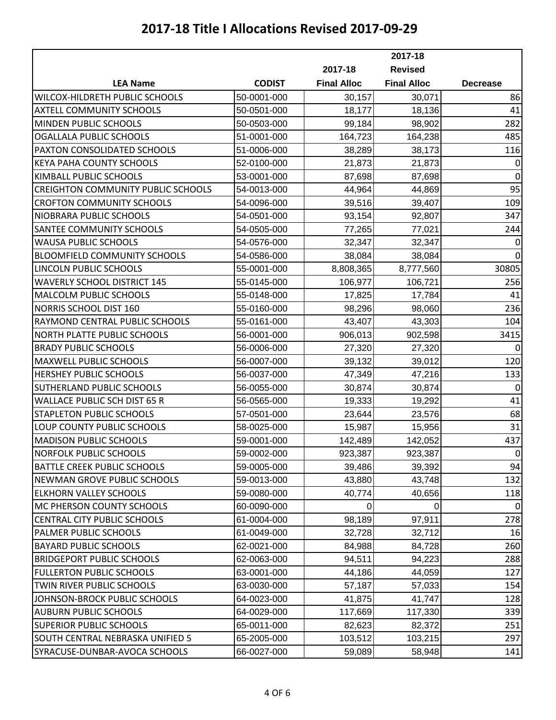|                                           | 2017-18       |                    |                    |                 |
|-------------------------------------------|---------------|--------------------|--------------------|-----------------|
|                                           |               | 2017-18            | <b>Revised</b>     |                 |
| <b>LEA Name</b>                           | <b>CODIST</b> | <b>Final Alloc</b> | <b>Final Alloc</b> | <b>Decrease</b> |
| WILCOX-HILDRETH PUBLIC SCHOOLS            | 50-0001-000   | 30,157             | 30,071             | 86              |
| <b>AXTELL COMMUNITY SCHOOLS</b>           | 50-0501-000   | 18,177             | 18,136             | 41              |
| MINDEN PUBLIC SCHOOLS                     | 50-0503-000   | 99,184             | 98,902             | 282             |
| <b>OGALLALA PUBLIC SCHOOLS</b>            | 51-0001-000   | 164,723            | 164,238            | 485             |
| PAXTON CONSOLIDATED SCHOOLS               | 51-0006-000   | 38,289             | 38,173             | 116             |
| <b>KEYA PAHA COUNTY SCHOOLS</b>           | 52-0100-000   | 21,873             | 21,873             | $\mathbf 0$     |
| KIMBALL PUBLIC SCHOOLS                    | 53-0001-000   | 87,698             | 87,698             | $\mathbf 0$     |
| <b>CREIGHTON COMMUNITY PUBLIC SCHOOLS</b> | 54-0013-000   | 44,964             | 44,869             | 95              |
| <b>CROFTON COMMUNITY SCHOOLS</b>          | 54-0096-000   | 39,516             | 39,407             | 109             |
| NIOBRARA PUBLIC SCHOOLS                   | 54-0501-000   | 93,154             | 92,807             | 347             |
| SANTEE COMMUNITY SCHOOLS                  | 54-0505-000   | 77,265             | 77,021             | 244             |
| <b>WAUSA PUBLIC SCHOOLS</b>               | 54-0576-000   | 32,347             | 32,347             | $\mathbf 0$     |
| <b>BLOOMFIELD COMMUNITY SCHOOLS</b>       | 54-0586-000   | 38,084             | 38,084             | $\mathbf 0$     |
| LINCOLN PUBLIC SCHOOLS                    | 55-0001-000   | 8,808,365          | 8,777,560          | 30805           |
| <b>WAVERLY SCHOOL DISTRICT 145</b>        | 55-0145-000   | 106,977            | 106,721            | 256             |
| MALCOLM PUBLIC SCHOOLS                    | 55-0148-000   | 17,825             | 17,784             | 41              |
| NORRIS SCHOOL DIST 160                    | 55-0160-000   | 98,296             | 98,060             | 236             |
| RAYMOND CENTRAL PUBLIC SCHOOLS            | 55-0161-000   | 43,407             | 43,303             | 104             |
| <b>NORTH PLATTE PUBLIC SCHOOLS</b>        | 56-0001-000   | 906,013            | 902,598            | 3415            |
| <b>BRADY PUBLIC SCHOOLS</b>               | 56-0006-000   | 27,320             | 27,320             | $\Omega$        |
| MAXWELL PUBLIC SCHOOLS                    | 56-0007-000   | 39,132             | 39,012             | 120             |
| <b>HERSHEY PUBLIC SCHOOLS</b>             | 56-0037-000   | 47,349             | 47,216             | 133             |
| SUTHERLAND PUBLIC SCHOOLS                 | 56-0055-000   | 30,874             | 30,874             | $\mathbf 0$     |
| <b>WALLACE PUBLIC SCH DIST 65 R</b>       | 56-0565-000   | 19,333             | 19,292             | 41              |
| STAPLETON PUBLIC SCHOOLS                  | 57-0501-000   | 23,644             | 23,576             | 68              |
| LOUP COUNTY PUBLIC SCHOOLS                | 58-0025-000   | 15,987             | 15,956             | 31              |
| <b>MADISON PUBLIC SCHOOLS</b>             | 59-0001-000   | 142,489            | 142,052            | 437             |
| <b>NORFOLK PUBLIC SCHOOLS</b>             | 59-0002-000   | 923,387            | 923,387            | $\pmb{0}$       |
| <b>BATTLE CREEK PUBLIC SCHOOLS</b>        | 59-0005-000   | 39,486             | 39,392             | 94              |
| NEWMAN GROVE PUBLIC SCHOOLS               | 59-0013-000   | 43,880             | 43,748             | 132             |
| <b>ELKHORN VALLEY SCHOOLS</b>             | 59-0080-000   | 40,774             | 40,656             | 118             |
| MC PHERSON COUNTY SCHOOLS                 | 60-0090-000   | 0                  | 0                  | $\Omega$        |
| <b>CENTRAL CITY PUBLIC SCHOOLS</b>        | 61-0004-000   | 98,189             | 97,911             | 278             |
| PALMER PUBLIC SCHOOLS                     | 61-0049-000   | 32,728             | 32,712             | 16              |
| <b>BAYARD PUBLIC SCHOOLS</b>              | 62-0021-000   | 84,988             | 84,728             | 260             |
| <b>BRIDGEPORT PUBLIC SCHOOLS</b>          | 62-0063-000   | 94,511             | 94,223             | 288             |
| <b>FULLERTON PUBLIC SCHOOLS</b>           | 63-0001-000   | 44,186             | 44,059             | 127             |
| TWIN RIVER PUBLIC SCHOOLS                 | 63-0030-000   | 57,187             | 57,033             | 154             |
| JOHNSON-BROCK PUBLIC SCHOOLS              | 64-0023-000   | 41,875             | 41,747             | 128             |
| <b>AUBURN PUBLIC SCHOOLS</b>              | 64-0029-000   | 117,669            | 117,330            | 339             |
| <b>SUPERIOR PUBLIC SCHOOLS</b>            | 65-0011-000   | 82,623             | 82,372             | 251             |
| SOUTH CENTRAL NEBRASKA UNIFIED 5          | 65-2005-000   | 103,512            | 103,215            | 297             |
| SYRACUSE-DUNBAR-AVOCA SCHOOLS             | 66-0027-000   | 59,089             | 58,948             | 141             |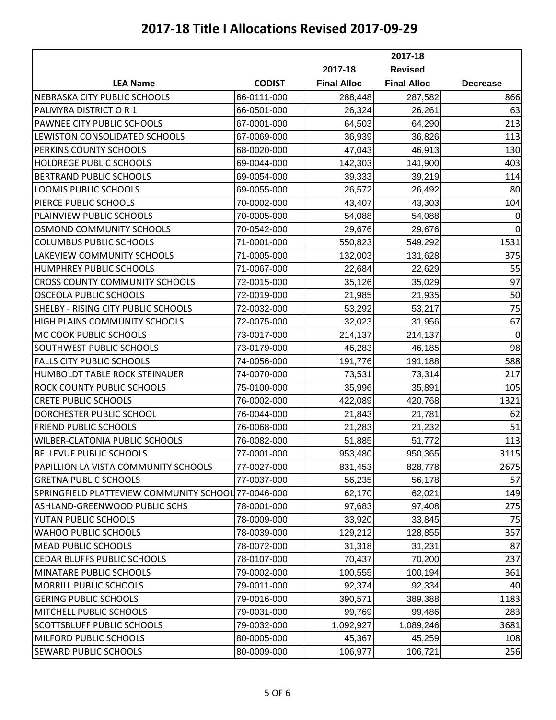|                                                     |               | 2017-18            |                    |                 |
|-----------------------------------------------------|---------------|--------------------|--------------------|-----------------|
|                                                     |               | 2017-18            | <b>Revised</b>     |                 |
| <b>LEA Name</b>                                     | <b>CODIST</b> | <b>Final Alloc</b> | <b>Final Alloc</b> | <b>Decrease</b> |
| NEBRASKA CITY PUBLIC SCHOOLS                        | 66-0111-000   | 288,448            | 287,582            | 866             |
| PALMYRA DISTRICT OR 1                               | 66-0501-000   | 26,324             | 26,261             | 63              |
| PAWNEE CITY PUBLIC SCHOOLS                          | 67-0001-000   | 64,503             | 64,290             | 213             |
| LEWISTON CONSOLIDATED SCHOOLS                       | 67-0069-000   | 36,939             | 36,826             | 113             |
| PERKINS COUNTY SCHOOLS                              | 68-0020-000   | 47,043             | 46,913             | 130             |
| HOLDREGE PUBLIC SCHOOLS                             | 69-0044-000   | 142,303            | 141,900            | 403             |
| <b>BERTRAND PUBLIC SCHOOLS</b>                      | 69-0054-000   | 39,333             | 39,219             | 114             |
| LOOMIS PUBLIC SCHOOLS                               | 69-0055-000   | 26,572             | 26,492             | 80              |
| PIERCE PUBLIC SCHOOLS                               | 70-0002-000   | 43,407             | 43,303             | 104             |
| PLAINVIEW PUBLIC SCHOOLS                            | 70-0005-000   | 54,088             | 54,088             | 0               |
| <b>OSMOND COMMUNITY SCHOOLS</b>                     | 70-0542-000   | 29,676             | 29,676             | $\mathbf 0$     |
| <b>COLUMBUS PUBLIC SCHOOLS</b>                      | 71-0001-000   | 550,823            | 549,292            | 1531            |
| LAKEVIEW COMMUNITY SCHOOLS                          | 71-0005-000   | 132,003            | 131,628            | 375             |
| HUMPHREY PUBLIC SCHOOLS                             | 71-0067-000   | 22,684             | 22,629             | 55              |
| <b>CROSS COUNTY COMMUNITY SCHOOLS</b>               | 72-0015-000   | 35,126             | 35,029             | 97              |
| <b>OSCEOLA PUBLIC SCHOOLS</b>                       | 72-0019-000   | 21,985             | 21,935             | 50              |
| SHELBY - RISING CITY PUBLIC SCHOOLS                 | 72-0032-000   | 53,292             | 53,217             | 75              |
| HIGH PLAINS COMMUNITY SCHOOLS                       | 72-0075-000   | 32,023             | 31,956             | 67              |
| MC COOK PUBLIC SCHOOLS                              | 73-0017-000   | 214,137            | 214,137            | $\mathbf 0$     |
| SOUTHWEST PUBLIC SCHOOLS                            | 73-0179-000   | 46,283             | 46,185             | 98              |
| <b>FALLS CITY PUBLIC SCHOOLS</b>                    | 74-0056-000   | 191,776            | 191,188            | 588             |
| HUMBOLDT TABLE ROCK STEINAUER                       | 74-0070-000   | 73,531             | 73,314             | 217             |
| ROCK COUNTY PUBLIC SCHOOLS                          | 75-0100-000   | 35,996             | 35,891             | 105             |
| <b>CRETE PUBLIC SCHOOLS</b>                         | 76-0002-000   | 422,089            | 420,768            | 1321            |
| DORCHESTER PUBLIC SCHOOL                            | 76-0044-000   | 21,843             | 21,781             | 62              |
| <b>FRIEND PUBLIC SCHOOLS</b>                        | 76-0068-000   | 21,283             | 21,232             | 51              |
| WILBER-CLATONIA PUBLIC SCHOOLS                      | 76-0082-000   | 51,885             | 51,772             | 113             |
| BELLEVUE PUBLIC SCHOOLS                             | 77-0001-000   | 953,480            | 950,365            | 3115            |
| PAPILLION LA VISTA COMMUNITY SCHOOLS                | 77-0027-000   | 831,453            | 828,778            | 2675            |
| <b>GRETNA PUBLIC SCHOOLS</b>                        | 77-0037-000   | 56,235             | 56,178             | 57              |
| SPRINGFIELD PLATTEVIEW COMMUNITY SCHOOL 77-0046-000 |               | 62,170             | 62,021             | 149             |
| ASHLAND-GREENWOOD PUBLIC SCHS                       | 78-0001-000   | 97,683             | 97,408             | 275             |
| YUTAN PUBLIC SCHOOLS                                | 78-0009-000   | 33,920             | 33,845             | 75              |
| <b>WAHOO PUBLIC SCHOOLS</b>                         | 78-0039-000   | 129,212            | 128,855            | 357             |
| <b>MEAD PUBLIC SCHOOLS</b>                          | 78-0072-000   | 31,318             | 31,231             | 87              |
| <b>CEDAR BLUFFS PUBLIC SCHOOLS</b>                  | 78-0107-000   | 70,437             | 70,200             | 237             |
| MINATARE PUBLIC SCHOOLS                             | 79-0002-000   | 100,555            | 100,194            | 361             |
| MORRILL PUBLIC SCHOOLS                              | 79-0011-000   | 92,374             | 92,334             | 40              |
| <b>GERING PUBLIC SCHOOLS</b>                        | 79-0016-000   | 390,571            | 389,388            | 1183            |
| MITCHELL PUBLIC SCHOOLS                             | 79-0031-000   | 99,769             | 99,486             | 283             |
| <b>SCOTTSBLUFF PUBLIC SCHOOLS</b>                   | 79-0032-000   | 1,092,927          | 1,089,246          | 3681            |
| MILFORD PUBLIC SCHOOLS                              | 80-0005-000   | 45,367             | 45,259             | 108             |
| <b>SEWARD PUBLIC SCHOOLS</b>                        | 80-0009-000   | 106,977            | 106,721            | 256             |